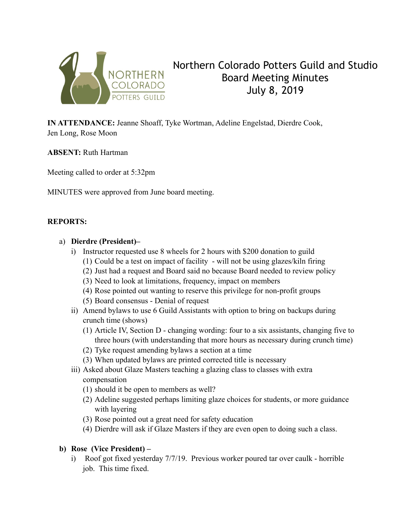

# Northern Colorado Potters Guild and Studio Board Meeting Minutes July 8, 2019

**IN ATTENDANCE:** Jeanne Shoaff, Tyke Wortman, Adeline Engelstad, Dierdre Cook, Jen Long, Rose Moon

**ABSENT:** Ruth Hartman

Meeting called to order at 5:32pm

MINUTES were approved from June board meeting.

#### **REPORTS:**

#### a) **Dierdre (President)–**

- i) Instructor requested use 8 wheels for 2 hours with \$200 donation to guild
	- (1) Could be a test on impact of facility will not be using glazes/kiln firing
	- (2) Just had a request and Board said no because Board needed to review policy
	- (3) Need to look at limitations, frequency, impact on members
	- (4) Rose pointed out wanting to reserve this privilege for non-profit groups
	- (5) Board consensus Denial of request
- ii) Amend bylaws to use 6 Guild Assistants with option to bring on backups during crunch time (shows)
	- (1) Article IV, Section D changing wording: four to a six assistants, changing five to three hours (with understanding that more hours as necessary during crunch time)
	- (2) Tyke request amending bylaws a section at a time
	- (3) When updated bylaws are printed corrected title is necessary
- iii) Asked about Glaze Masters teaching a glazing class to classes with extra compensation
	- (1) should it be open to members as well?
	- (2) Adeline suggested perhaps limiting glaze choices for students, or more guidance with layering
	- (3) Rose pointed out a great need for safety education
	- (4) Dierdre will ask if Glaze Masters if they are even open to doing such a class.

## **b) Rose (Vice President) –**

i) Roof got fixed yesterday 7/7/19. Previous worker poured tar over caulk - horrible job. This time fixed.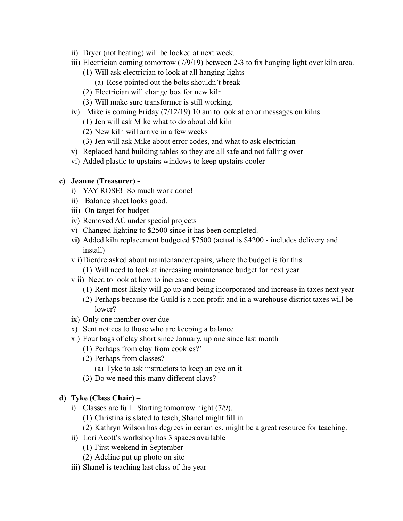- ii) Dryer (not heating) will be looked at next week.
- iii) Electrician coming tomorrow (7/9/19) between 2-3 to fix hanging light over kiln area.
	- (1) Will ask electrician to look at all hanging lights
		- (a) Rose pointed out the bolts shouldn't break
	- (2) Electrician will change box for new kiln
	- (3) Will make sure transformer is still working.
- iv) Mike is coming Friday (7/12/19) 10 am to look at error messages on kilns
	- (1) Jen will ask Mike what to do about old kiln
	- (2) New kiln will arrive in a few weeks
	- (3) Jen will ask Mike about error codes, and what to ask electrician
- v) Replaced hand building tables so they are all safe and not falling over
- vi) Added plastic to upstairs windows to keep upstairs cooler

## **c) Jeanne (Treasurer) -**

- i) YAY ROSE! So much work done!
- ii) Balance sheet looks good.
- iii) On target for budget
- iv) Removed AC under special projects
- v) Changed lighting to \$2500 since it has been completed.
- **vi)** Added kiln replacement budgeted \$7500 (actual is \$4200 includes delivery and install)
- vii)Dierdre asked about maintenance/repairs, where the budget is for this. (1) Will need to look at increasing maintenance budget for next year
- viii) Need to look at how to increase revenue
	- (1) Rent most likely will go up and being incorporated and increase in taxes next year
	- (2) Perhaps because the Guild is a non profit and in a warehouse district taxes will be lower?
- ix) Only one member over due
- x) Sent notices to those who are keeping a balance
- xi) Four bags of clay short since January, up one since last month
	- (1) Perhaps from clay from cookies?'
	- (2) Perhaps from classes?
		- (a) Tyke to ask instructors to keep an eye on it
	- (3) Do we need this many different clays?

## **d) Tyke (Class Chair) –**

- i) Classes are full. Starting tomorrow night (7/9).
	- (1) Christina is slated to teach, Shanel might fill in
	- (2) Kathryn Wilson has degrees in ceramics, might be a great resource for teaching.
- ii) Lori Acott's workshop has 3 spaces available
	- (1) First weekend in September
	- (2) Adeline put up photo on site
- iii) Shanel is teaching last class of the year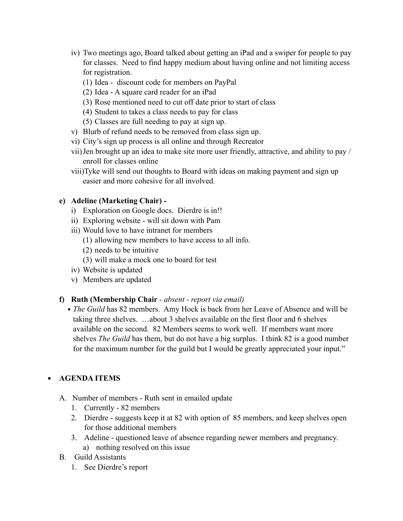- iv) Two meetings ago, Board talked about getting an iPad and a swiper for people to pay for classes. Need to find happy medium about having online and not limiting access for registration.
	- (1) Idea discount code for members on PayPal
	- (2) Idea A square card reader for an iPad
	- (3) Rose mentioned need to cut off date prior to start of class
	- (4) Student to takes a class needs to pay for class
	- (5) Classes are full needing to pay at sign up.
- v) Blurb of refund needs to be removed from class sign up.
- vi) City's sign up process is all online and through Recreator
- vii)Jen brought up an idea to make site more user friendly, attractive, and ability to pay / enroll for classes online
- viii)Tyke will send out thoughts to Board with ideas on making payment and sign up easier and more cohesive for all involved.

## **e) Adeline (Marketing Chair) -**

- i) Exploration on Google docs. Dierdre is in!!
- ii) Exploring website will sit down with Pam
- iii) Would love to have intranet for members
	- (1) allowing new members to have access to all info.
	- (2) needs to be intuitive
	- (3) will make a mock one to board for test
- iv) Website is updated
- v) Members are updated

#### **f) Ruth (Membership Chair** *- absent - report via email)*

• *The Guild* has 82 members. Amy Hock is back from her Leave of Absence and will be taking three shelves. …about 3 shelves available on the first floor and 6 shelves available on the second. 82 Members seems to work well. If members want more shelves *The Guild* has them, but do not have a big surplus. I think 82 is a good number for the maximum number for the guild but I would be greatly appreciated your input."

## **AGENDA ITEMS**

- A. Number of members Ruth sent in emailed update
	- 1. Currently 82 members
	- 2. Dierdre suggests keep it at 82 with option of 85 members, and keep shelves open for those additional members
	- 3. Adeline questioned leave of absence regarding newer members and pregnancy. a) nothing resolved on this issue
- B. Guild Assistants
	- 1. See Dierdre's report